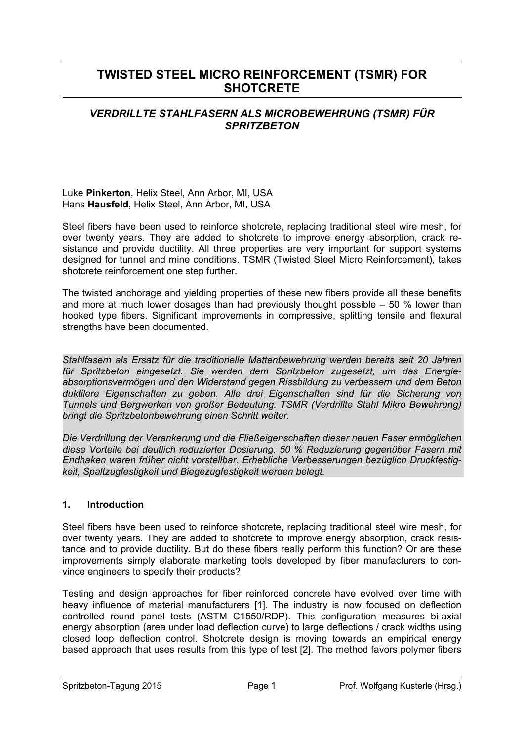# **TWISTED STEEL MICRO REINFORCEMENT (TSMR) FOR SHOTCRETE**

### *VERDRILLTE STAHLFASERN ALS MICROBEWEHRUNG (TSMR) FÜR SPRITZBETON*

Luke **Pinkerton**, Helix Steel, Ann Arbor, MI, USA Hans **Hausfeld**, Helix Steel, Ann Arbor, MI, USA

Steel fibers have been used to reinforce shotcrete, replacing traditional steel wire mesh, for over twenty years. They are added to shotcrete to improve energy absorption, crack resistance and provide ductility. All three properties are very important for support systems designed for tunnel and mine conditions. TSMR (Twisted Steel Micro Reinforcement), takes shotcrete reinforcement one step further.

The twisted anchorage and yielding properties of these new fibers provide all these benefits and more at much lower dosages than had previously thought possible  $-50\%$  lower than hooked type fibers. Significant improvements in compressive, splitting tensile and flexural strengths have been documented.

*Stahlfasern als Ersatz für die traditionelle Mattenbewehrung werden bereits seit 20 Jahren für Spritzbeton eingesetzt. Sie werden dem Spritzbeton zugesetzt, um das Energieabsorptionsvermögen und den Widerstand gegen Rissbildung zu verbessern und dem Beton duktilere Eigenschaften zu geben. Alle drei Eigenschaften sind für die Sicherung von Tunnels und Bergwerken von großer Bedeutung. TSMR (Verdrillte Stahl Mikro Bewehrung) bringt die Spritzbetonbewehrung einen Schritt weiter.* 

*Die Verdrillung der Verankerung und die Fließeigenschaften dieser neuen Faser ermöglichen diese Vorteile bei deutlich reduzierter Dosierung. 50 % Reduzierung gegenüber Fasern mit Endhaken waren früher nicht vorstellbar. Erhebliche Verbesserungen bezüglich Druckfestigkeit, Spaltzugfestigkeit und Biegezugfestigkeit werden belegt.* 

#### **1. Introduction**

Steel fibers have been used to reinforce shotcrete, replacing traditional steel wire mesh, for over twenty years. They are added to shotcrete to improve energy absorption, crack resistance and to provide ductility. But do these fibers really perform this function? Or are these improvements simply elaborate marketing tools developed by fiber manufacturers to convince engineers to specify their products?

Testing and design approaches for fiber reinforced concrete have evolved over time with heavy influence of material manufacturers [1]. The industry is now focused on deflection controlled round panel tests (ASTM C1550/RDP). This configuration measures bi-axial energy absorption (area under load deflection curve) to large deflections / crack widths using closed loop deflection control. Shotcrete design is moving towards an empirical energy based approach that uses results from this type of test [2]. The method favors polymer fibers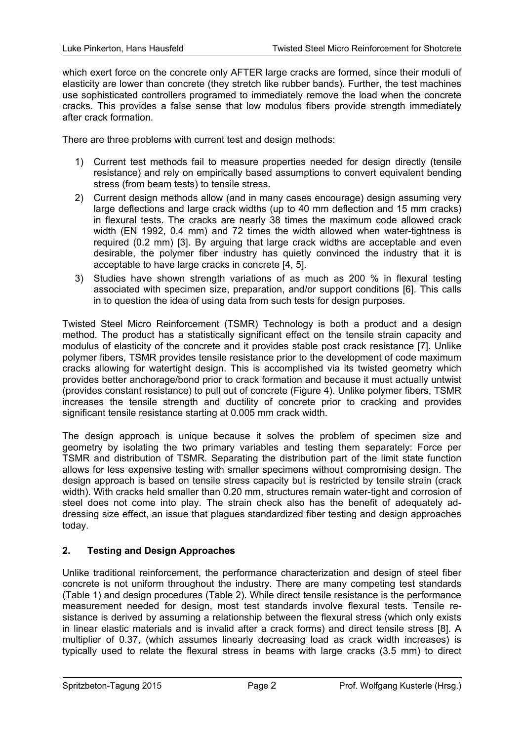which exert force on the concrete only AFTER large cracks are formed, since their moduli of elasticity are lower than concrete (they stretch like rubber bands). Further, the test machines use sophisticated controllers programed to immediately remove the load when the concrete cracks. This provides a false sense that low modulus fibers provide strength immediately after crack formation.

There are three problems with current test and design methods:

- 1) Current test methods fail to measure properties needed for design directly (tensile resistance) and rely on empirically based assumptions to convert equivalent bending stress (from beam tests) to tensile stress.
- 2) Current design methods allow (and in many cases encourage) design assuming very large deflections and large crack widths (up to 40 mm deflection and 15 mm cracks) in flexural tests. The cracks are nearly 38 times the maximum code allowed crack width (EN 1992, 0.4 mm) and 72 times the width allowed when water-tightness is required (0.2 mm) [3]. By arguing that large crack widths are acceptable and even desirable, the polymer fiber industry has quietly convinced the industry that it is acceptable to have large cracks in concrete [4, 5].
- 3) Studies have shown strength variations of as much as 200 % in flexural testing associated with specimen size, preparation, and/or support conditions [6]. This calls in to question the idea of using data from such tests for design purposes.

Twisted Steel Micro Reinforcement (TSMR) Technology is both a product and a design method. The product has a statistically significant effect on the tensile strain capacity and modulus of elasticity of the concrete and it provides stable post crack resistance [7]. Unlike polymer fibers, TSMR provides tensile resistance prior to the development of code maximum cracks allowing for watertight design. This is accomplished via its twisted geometry which provides better anchorage/bond prior to crack formation and because it must actually untwist (provides constant resistance) to pull out of concrete (Figure 4). Unlike polymer fibers, TSMR increases the tensile strength and ductility of concrete prior to cracking and provides significant tensile resistance starting at 0.005 mm crack width.

The design approach is unique because it solves the problem of specimen size and geometry by isolating the two primary variables and testing them separately: Force per TSMR and distribution of TSMR. Separating the distribution part of the limit state function allows for less expensive testing with smaller specimens without compromising design. The design approach is based on tensile stress capacity but is restricted by tensile strain (crack width). With cracks held smaller than 0.20 mm, structures remain water-tight and corrosion of steel does not come into play. The strain check also has the benefit of adequately addressing size effect, an issue that plagues standardized fiber testing and design approaches today.

#### **2. Testing and Design Approaches**

Unlike traditional reinforcement, the performance characterization and design of steel fiber concrete is not uniform throughout the industry. There are many competing test standards (Table 1) and design procedures (Table 2). While direct tensile resistance is the performance measurement needed for design, most test standards involve flexural tests. Tensile resistance is derived by assuming a relationship between the flexural stress (which only exists in linear elastic materials and is invalid after a crack forms) and direct tensile stress [8]. A multiplier of 0.37, (which assumes linearly decreasing load as crack width increases) is typically used to relate the flexural stress in beams with large cracks (3.5 mm) to direct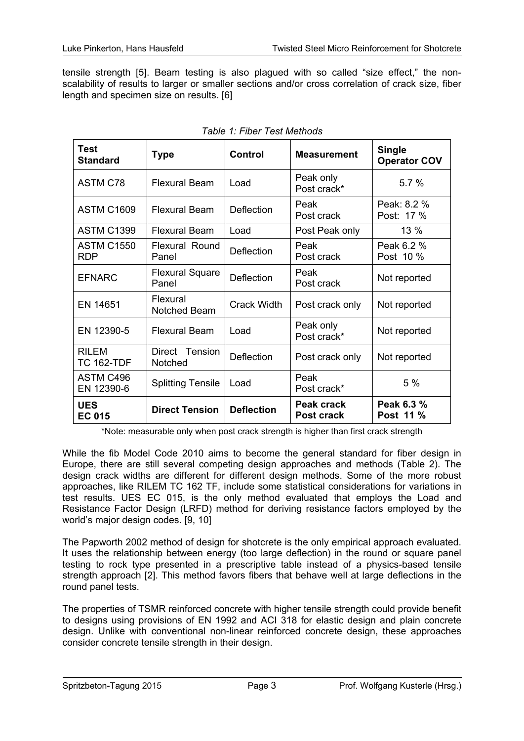tensile strength [5]. Beam testing is also plagued with so called "size effect," the nonscalability of results to larger or smaller sections and/or cross correlation of crack size, fiber length and specimen size on results. [6]

| <b>Test</b><br><b>Standard</b>  | <b>Type</b>                     | <b>Control</b><br><b>Measurement</b> |                          | <b>Single</b><br><b>Operator COV</b> |  |
|---------------------------------|---------------------------------|--------------------------------------|--------------------------|--------------------------------------|--|
| <b>ASTM C78</b>                 | <b>Flexural Beam</b>            | Load                                 | Peak only<br>Post crack* | 5.7%                                 |  |
| <b>ASTM C1609</b>               | <b>Flexural Beam</b>            | <b>Deflection</b>                    | Peak<br>Post crack       | Peak: 8.2 %<br>Post: 17 %            |  |
| <b>ASTM C1399</b>               | <b>Flexural Beam</b>            | Load                                 | Post Peak only           | 13 %                                 |  |
| <b>ASTM C1550</b><br><b>RDP</b> | <b>Flexural Round</b><br>Panel  | <b>Deflection</b>                    | Peak<br>Post crack       | Peak 6.2 %<br>Post 10 %              |  |
| <b>EFNARC</b>                   | <b>Flexural Square</b><br>Panel | <b>Deflection</b>                    | Peak<br>Post crack       | Not reported                         |  |
| EN 14651                        | Flexural<br>Notched Beam        | <b>Crack Width</b>                   | Post crack only          | Not reported                         |  |
| EN 12390-5                      | <b>Flexural Beam</b>            | Load                                 | Peak only<br>Post crack* | Not reported                         |  |
| RILEM<br><b>TC 162-TDF</b>      | Direct Tension<br>Notched       | <b>Deflection</b>                    | Post crack only          | Not reported                         |  |
| ASTM C496<br>EN 12390-6         | <b>Splitting Tensile</b>        | Load                                 | Peak<br>Post crack*      | 5%                                   |  |
| <b>UES</b><br><b>EC 015</b>     | <b>Direct Tension</b>           | <b>Deflection</b>                    | Peak crack<br>Post crack | Peak 6.3 %<br>Post 11 %              |  |

|  |  | Table 1: Fiber Test Methods |
|--|--|-----------------------------|
|--|--|-----------------------------|

\*Note: measurable only when post crack strength is higher than first crack strength

While the fib Model Code 2010 aims to become the general standard for fiber design in Europe, there are still several competing design approaches and methods (Table 2). The design crack widths are different for different design methods. Some of the more robust approaches, like RILEM TC 162 TF, include some statistical considerations for variations in test results. UES EC 015, is the only method evaluated that employs the Load and Resistance Factor Design (LRFD) method for deriving resistance factors employed by the world's major design codes. [9, 10]

The Papworth 2002 method of design for shotcrete is the only empirical approach evaluated. It uses the relationship between energy (too large deflection) in the round or square panel testing to rock type presented in a prescriptive table instead of a physics-based tensile strength approach [2]. This method favors fibers that behave well at large deflections in the round panel tests.

The properties of TSMR reinforced concrete with higher tensile strength could provide benefit to designs using provisions of EN 1992 and ACI 318 for elastic design and plain concrete design. Unlike with conventional non-linear reinforced concrete design, these approaches consider concrete tensile strength in their design.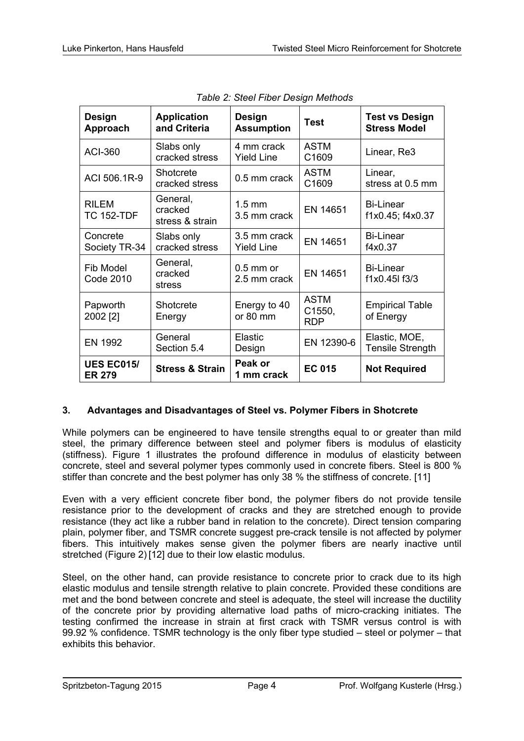| <b>Design</b><br>Approach          | <b>Application</b><br>and Criteria     | Design<br><b>Test</b><br><b>Assumption</b>                      |                      | <b>Test vs Design</b><br><b>Stress Model</b> |  |
|------------------------------------|----------------------------------------|-----------------------------------------------------------------|----------------------|----------------------------------------------|--|
| <b>ACI-360</b>                     | Slabs only<br>cracked stress           | 4 mm crack<br><b>Yield Line</b>                                 | <b>ASTM</b><br>C1609 | Linear, Re3                                  |  |
| ACI 506.1R-9                       | Shotcrete<br>cracked stress            | <b>ASTM</b><br>0.5 mm crack<br>C1609                            |                      | Linear,<br>stress at 0.5 mm                  |  |
| <b>RILEM</b><br><b>TC 152-TDF</b>  | General,<br>cracked<br>stress & strain | $1.5$ mm<br>EN 14651<br>3.5 mm crack                            |                      | <b>Bi-Linear</b><br>f1x0.45; f4x0.37         |  |
| Concrete<br>Society TR-34          | Slabs only<br>cracked stress           | 3.5 mm crack<br>EN 14651<br><b>Yield Line</b>                   |                      | <b>Bi-Linear</b><br>f4x0.37                  |  |
| Fib Model<br><b>Code 2010</b>      | General,<br>cracked<br>stress          | $0.5$ mm or<br>EN 14651<br>2.5 mm crack                         |                      | <b>Bi-Linear</b><br>f1x0.45l f3/3            |  |
| Papworth<br>2002 [2]               | Shotcrete<br>Energy                    | <b>ASTM</b><br>Energy to 40<br>C1550,<br>or 80 mm<br><b>RDP</b> |                      | <b>Empirical Table</b><br>of Energy          |  |
| EN 1992                            | General<br>Section 5.4                 | Elastic<br>EN 12390-6<br>Design                                 |                      | Elastic, MOE,<br><b>Tensile Strength</b>     |  |
| <b>UES EC015/</b><br><b>ER 279</b> | <b>Stress &amp; Strain</b>             | Peak or<br>1 mm crack                                           | <b>EC 015</b>        | <b>Not Required</b>                          |  |

|  |  | Table 2: Steel Fiber Design Methods |
|--|--|-------------------------------------|
|  |  |                                     |

#### **3. Advantages and Disadvantages of Steel vs. Polymer Fibers in Shotcrete**

While polymers can be engineered to have tensile strengths equal to or greater than mild steel, the primary difference between steel and polymer fibers is modulus of elasticity (stiffness). Figure 1 illustrates the profound difference in modulus of elasticity between concrete, steel and several polymer types commonly used in concrete fibers. Steel is 800 % stiffer than concrete and the best polymer has only 38 % the stiffness of concrete. [11]

Even with a very efficient concrete fiber bond, the polymer fibers do not provide tensile resistance prior to the development of cracks and they are stretched enough to provide resistance (they act like a rubber band in relation to the concrete). Direct tension comparing plain, polymer fiber, and TSMR concrete suggest pre-crack tensile is not affected by polymer fibers. This intuitively makes sense given the polymer fibers are nearly inactive until stretched (Figure 2) [12] due to their low elastic modulus.

Steel, on the other hand, can provide resistance to concrete prior to crack due to its high elastic modulus and tensile strength relative to plain concrete. Provided these conditions are met and the bond between concrete and steel is adequate, the steel will increase the ductility of the concrete prior by providing alternative load paths of micro-cracking initiates. The testing confirmed the increase in strain at first crack with TSMR versus control is with 99.92 % confidence. TSMR technology is the only fiber type studied – steel or polymer – that exhibits this behavior.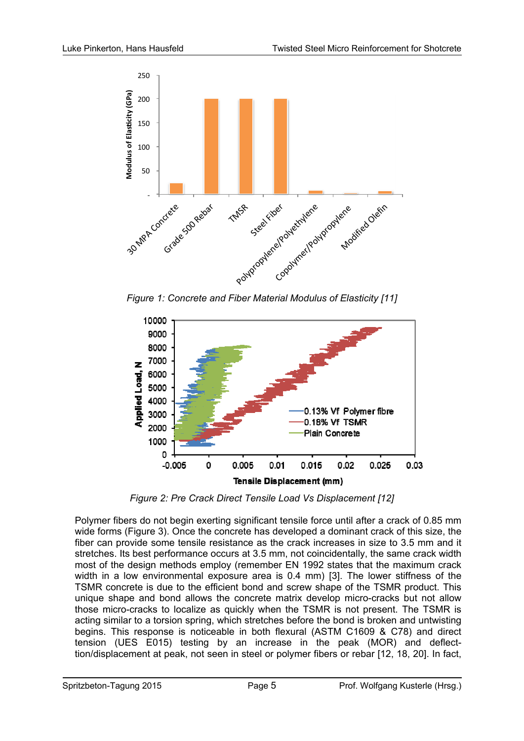

*Figure 1: Concrete and Fiber Material Modulus of Elasticity [11]*



*Figure 2: Pre Crack Direct Tensile Load Vs Displacement [12]*

Polymer fibers do not begin exerting significant tensile force until after a crack of 0.85 mm wide forms (Figure 3). Once the concrete has developed a dominant crack of this size, the fiber can provide some tensile resistance as the crack increases in size to 3.5 mm and it stretches. Its best performance occurs at 3.5 mm, not coincidentally, the same crack width most of the design methods employ (remember EN 1992 states that the maximum crack width in a low environmental exposure area is 0.4 mm) [3]. The lower stiffness of the TSMR concrete is due to the efficient bond and screw shape of the TSMR product. This unique shape and bond allows the concrete matrix develop micro-cracks but not allow those micro-cracks to localize as quickly when the TSMR is not present. The TSMR is acting similar to a torsion spring, which stretches before the bond is broken and untwisting begins. This response is noticeable in both flexural (ASTM C1609 & C78) and direct tension (UES E015) testing by an increase in the peak (MOR) and deflecttion/displacement at peak, not seen in steel or polymer fibers or rebar [12, 18, 20]. In fact,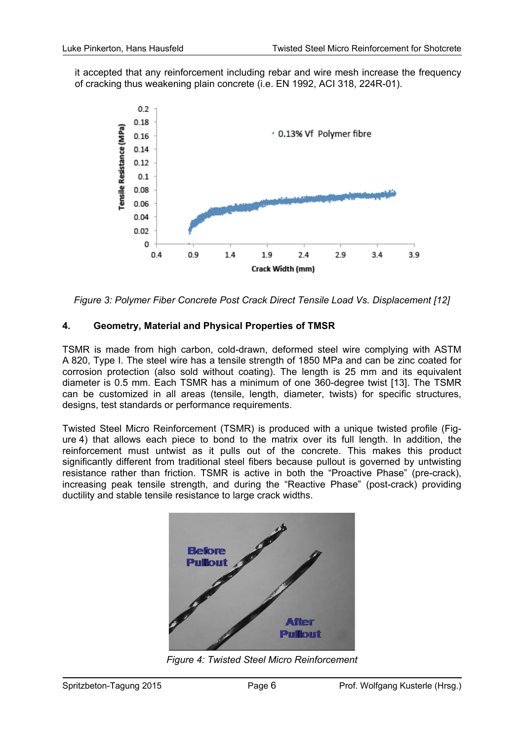it accepted that any reinforcement including rebar and wire mesh increase the frequency of cracking thus weakening plain concrete (i.e. EN 1992, ACI 318, 224R-01).



*Figure 3: Polymer Fiber Concrete Post Crack Direct Tensile Load Vs. Displacement [12]*

#### **4. Geometry, Material and Physical Properties of TMSR**

TSMR is made from high carbon, cold-drawn, deformed steel wire complying with ASTM A 820, Type I. The steel wire has a tensile strength of 1850 MPa and can be zinc coated for corrosion protection (also sold without coating). The length is 25 mm and its equivalent diameter is 0.5 mm. Each TSMR has a minimum of one 360-degree twist [13]. The TSMR can be customized in all areas (tensile, length, diameter, twists) for specific structures, designs, test standards or performance requirements.

Twisted Steel Micro Reinforcement (TSMR) is produced with a unique twisted profile (Figure 4) that allows each piece to bond to the matrix over its full length. In addition, the reinforcement must untwist as it pulls out of the concrete. This makes this product significantly different from traditional steel fibers because pullout is governed by untwisting resistance rather than friction. TSMR is active in both the "Proactive Phase" (pre-crack), increasing peak tensile strength, and during the "Reactive Phase" (post-crack) providing ductility and stable tensile resistance to large crack widths.



*Figure 4: Twisted Steel Micro Reinforcement*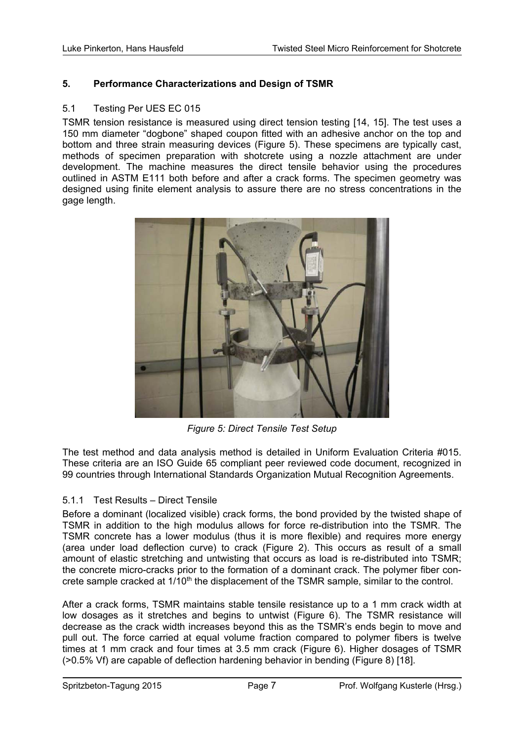#### **5. Performance Characterizations and Design of TSMR**

#### 5.1 Testing Per UES EC 015

TSMR tension resistance is measured using direct tension testing [14, 15]. The test uses a 150 mm diameter "dogbone" shaped coupon fitted with an adhesive anchor on the top and bottom and three strain measuring devices (Figure 5). These specimens are typically cast, methods of specimen preparation with shotcrete using a nozzle attachment are under development. The machine measures the direct tensile behavior using the procedures outlined in ASTM E111 both before and after a crack forms. The specimen geometry was designed using finite element analysis to assure there are no stress concentrations in the gage length.



*Figure 5: Direct Tensile Test Setup* 

The test method and data analysis method is detailed in Uniform Evaluation Criteria #015. These criteria are an ISO Guide 65 compliant peer reviewed code document, recognized in 99 countries through International Standards Organization Mutual Recognition Agreements.

#### 5.1.1 Test Results – Direct Tensile

Before a dominant (localized visible) crack forms, the bond provided by the twisted shape of TSMR in addition to the high modulus allows for force re-distribution into the TSMR. The TSMR concrete has a lower modulus (thus it is more flexible) and requires more energy (area under load deflection curve) to crack (Figure 2). This occurs as result of a small amount of elastic stretching and untwisting that occurs as load is re-distributed into TSMR; the concrete micro-cracks prior to the formation of a dominant crack. The polymer fiber concrete sample cracked at 1/10<sup>th</sup> the displacement of the TSMR sample, similar to the control.

After a crack forms, TSMR maintains stable tensile resistance up to a 1 mm crack width at low dosages as it stretches and begins to untwist (Figure 6). The TSMR resistance will decrease as the crack width increases beyond this as the TSMR's ends begin to move and pull out. The force carried at equal volume fraction compared to polymer fibers is twelve times at 1 mm crack and four times at 3.5 mm crack (Figure 6). Higher dosages of TSMR (>0.5% Vf) are capable of deflection hardening behavior in bending (Figure 8) [18].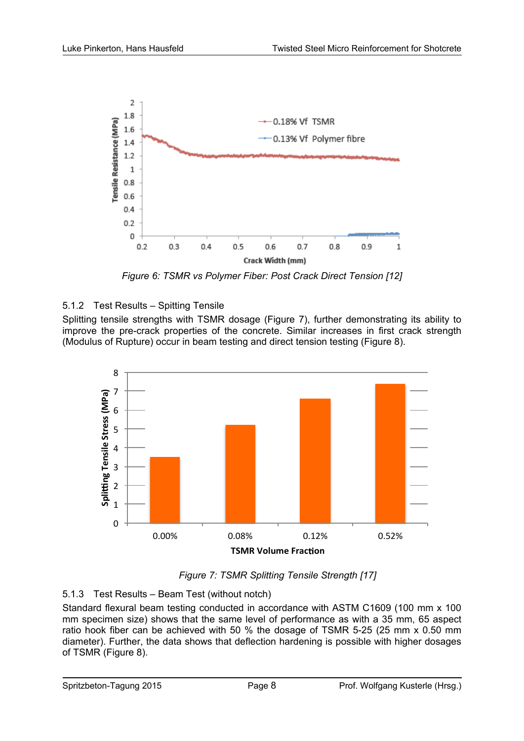

*Figure 6: TSMR vs Polymer Fiber: Post Crack Direct Tension [12]*

## 5.1.2 Test Results – Spitting Tensile

Splitting tensile strengths with TSMR dosage (Figure 7), further demonstrating its ability to improve the pre-crack properties of the concrete. Similar increases in first crack strength (Modulus of Rupture) occur in beam testing and direct tension testing (Figure 8).



*Figure 7: TSMR Splitting Tensile Strength [17]*

## 5.1.3 Test Results – Beam Test (without notch)

Standard flexural beam testing conducted in accordance with ASTM C1609 (100 mm x 100 mm specimen size) shows that the same level of performance as with a 35 mm, 65 aspect ratio hook fiber can be achieved with 50 % the dosage of TSMR 5-25 (25 mm x 0.50 mm diameter). Further, the data shows that deflection hardening is possible with higher dosages of TSMR (Figure 8).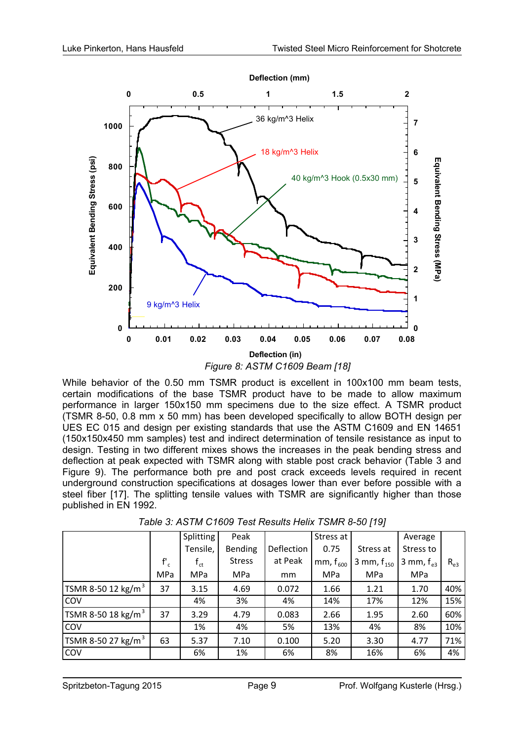

While behavior of the 0.50 mm TSMR product is excellent in 100x100 mm beam tests, certain modifications of the base TSMR product have to be made to allow maximum performance in larger 150x150 mm specimens due to the size effect. A TSMR product (TSMR 8-50, 0.8 mm x 50 mm) has been developed specifically to allow BOTH design per UES EC 015 and design per existing standards that use the ASTM C1609 and EN 14651 (150x150x450 mm samples) test and indirect determination of tensile resistance as input to design. Testing in two different mixes shows the increases in the peak bending stress and deflection at peak expected with TSMR along with stable post crack behavior (Table 3 and Figure 9). The performance both pre and post crack exceeds levels required in recent underground construction specifications at dosages lower than ever before possible with a steel fiber [17]. The splitting tensile values with TSMR are significantly higher than those published in EN 1992.

|                                |          | <b>Splitting</b>           | Peak           |            | Stress at     |                 | Average            |          |
|--------------------------------|----------|----------------------------|----------------|------------|---------------|-----------------|--------------------|----------|
|                                |          | Tensile,                   | <b>Bending</b> | Deflection | 0.75          | Stress at       | Stress to          |          |
|                                | $f'_{c}$ | $\mathsf{f}_{\mathsf{ct}}$ | <b>Stress</b>  | at Peak    | mm, $f_{600}$ | 3 mm, $f_{150}$ | 3 mm, $f_{\alpha}$ | $R_{e3}$ |
|                                | MPa      | MPa                        | MPa            | mm         | MPa           | MPa             | MPa                |          |
| TSMR 8-50 12 kg/m <sup>3</sup> | 37       | 3.15                       | 4.69           | 0.072      | 1.66          | 1.21            | 1.70               | 40%      |
| <b>COV</b>                     |          | 4%                         | 3%             | 4%         | 14%           | 17%             | 12%                | 15%      |
| TSMR 8-50 18 kg/m <sup>3</sup> | 37       | 3.29                       | 4.79           | 0.083      | 2.66          | 1.95            | 2.60               | 60%      |
| <b>COV</b>                     |          | 1%                         | 4%             | 5%         | 13%           | 4%              | 8%                 | 10%      |
| TSMR 8-50 27 kg/m <sup>3</sup> | 63       | 5.37                       | 7.10           | 0.100      | 5.20          | 3.30            | 4.77               | 71%      |
| <b>COV</b>                     |          | 6%                         | 1%             | 6%         | 8%            | 16%             | 6%                 | 4%       |

*Table 3: ASTM C1609 Test Results Helix TSMR 8-50 [19]*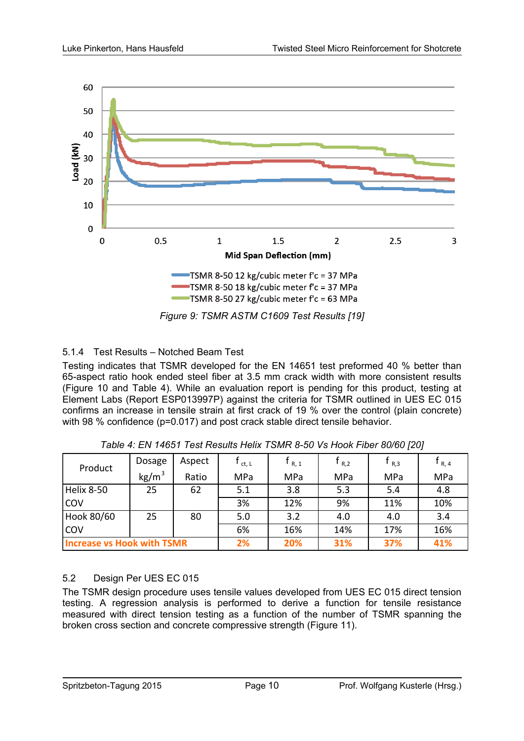

#### 5.1.4 Test Results – Notched Beam Test

Testing indicates that TSMR developed for the EN 14651 test preformed 40 % better than 65-aspect ratio hook ended steel fiber at 3.5 mm crack width with more consistent results (Figure 10 and Table 4). While an evaluation report is pending for this product, testing at Element Labs (Report ESP013997P) against the criteria for TSMR outlined in UES EC 015 confirms an increase in tensile strain at first crack of 19 % over the control (plain concrete) with 98 % confidence (p=0.017) and post crack stable direct tensile behavior.

| Product                           | Dosage            | Aspect | ct, L | $\mathsf{F}_{\mathsf{R},1}$ | $R_{R,2}$ | R,3 | t <sub>R, 4</sub> |
|-----------------------------------|-------------------|--------|-------|-----------------------------|-----------|-----|-------------------|
|                                   | kg/m <sup>3</sup> | Ratio  | MPa   | MPa                         | MPa       | MPa | MPa               |
| <b>Helix 8-50</b>                 | 25                | 62     | 5.1   | 3.8                         | 5.3       | 5.4 | 4.8               |
| COV                               |                   |        | 3%    | 12%                         | 9%        | 11% | 10%               |
| Hook 80/60                        | 25                | 80     | 5.0   | 3.2                         | 4.0       | 4.0 | 3.4               |
| COV                               |                   |        | 6%    | 16%                         | 14%       | 17% | 16%               |
| <b>Increase vs Hook with TSMR</b> |                   | 2%     | 20%   | 31%                         | 37%       | 41% |                   |

*Table 4: EN 14651 Test Results Helix TSMR 8-50 Vs Hook Fiber 80/60 [20]* 

#### 5.2 Design Per UES EC 015

The TSMR design procedure uses tensile values developed from UES EC 015 direct tension testing. A regression analysis is performed to derive a function for tensile resistance measured with direct tension testing as a function of the number of TSMR spanning the broken cross section and concrete compressive strength (Figure 11).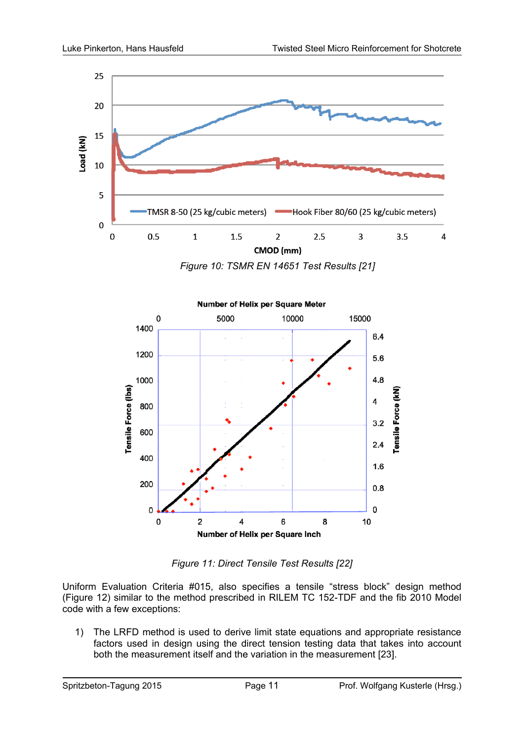

*Figure 10: TSMR EN 14651 Test Results [21]*



*Figure 11: Direct Tensile Test Results [22]*

Uniform Evaluation Criteria #015, also specifies a tensile "stress block" design method (Figure 12) similar to the method prescribed in RILEM TC 152-TDF and the fib 2010 Model code with a few exceptions:

1) The LRFD method is used to derive limit state equations and appropriate resistance factors used in design using the direct tension testing data that takes into account both the measurement itself and the variation in the measurement [23].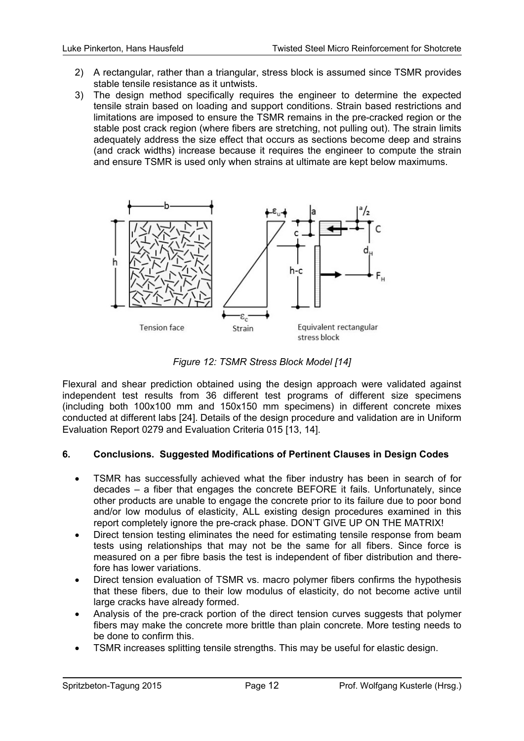- 2) A rectangular, rather than a triangular, stress block is assumed since TSMR provides stable tensile resistance as it untwists.
- 3) The design method specifically requires the engineer to determine the expected tensile strain based on loading and support conditions. Strain based restrictions and limitations are imposed to ensure the TSMR remains in the pre-cracked region or the stable post crack region (where fibers are stretching, not pulling out). The strain limits adequately address the size effect that occurs as sections become deep and strains (and crack widths) increase because it requires the engineer to compute the strain and ensure TSMR is used only when strains at ultimate are kept below maximums.



*Figure 12: TSMR Stress Block Model [14]* 

Flexural and shear prediction obtained using the design approach were validated against independent test results from 36 different test programs of different size specimens (including both 100x100 mm and 150x150 mm specimens) in different concrete mixes conducted at different labs [24]. Details of the design procedure and validation are in Uniform Evaluation Report 0279 and Evaluation Criteria 015 [13, 14].

#### **6. Conclusions. Suggested Modifications of Pertinent Clauses in Design Codes**

- TSMR has successfully achieved what the fiber industry has been in search of for decades – a fiber that engages the concrete BEFORE it fails. Unfortunately, since other products are unable to engage the concrete prior to its failure due to poor bond and/or low modulus of elasticity, ALL existing design procedures examined in this report completely ignore the pre-crack phase. DON'T GIVE UP ON THE MATRIX!
- Direct tension testing eliminates the need for estimating tensile response from beam tests using relationships that may not be the same for all fibers. Since force is measured on a per fibre basis the test is independent of fiber distribution and therefore has lower variations.
- Direct tension evaluation of TSMR vs. macro polymer fibers confirms the hypothesis that these fibers, due to their low modulus of elasticity, do not become active until large cracks have already formed.
- Analysis of the pre-crack portion of the direct tension curves suggests that polymer fibers may make the concrete more brittle than plain concrete. More testing needs to be done to confirm this.
- TSMR increases splitting tensile strengths. This may be useful for elastic design.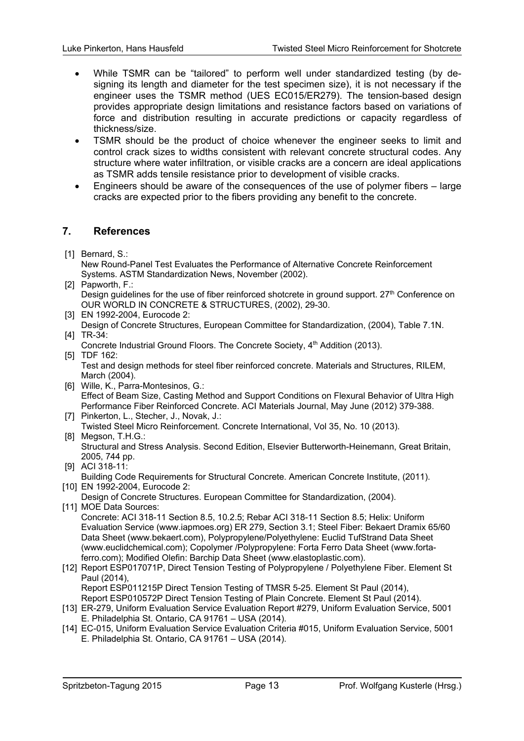- While TSMR can be "tailored" to perform well under standardized testing (by designing its length and diameter for the test specimen size), it is not necessary if the engineer uses the TSMR method (UES EC015/ER279). The tension-based design provides appropriate design limitations and resistance factors based on variations of force and distribution resulting in accurate predictions or capacity regardless of thickness/size.
- TSMR should be the product of choice whenever the engineer seeks to limit and control crack sizes to widths consistent with relevant concrete structural codes. Any structure where water infiltration, or visible cracks are a concern are ideal applications as TSMR adds tensile resistance prior to development of visible cracks.
- Engineers should be aware of the consequences of the use of polymer fibers large cracks are expected prior to the fibers providing any benefit to the concrete.

#### **7. References**

[1] Bernard, S.:

New Round-Panel Test Evaluates the Performance of Alternative Concrete Reinforcement Systems. ASTM Standardization News, November (2002).

- [2] Papworth, F.: Design guidelines for the use of fiber reinforced shotcrete in ground support. 27<sup>th</sup> Conference on OUR WORLD IN CONCRETE & STRUCTURES, (2002), 29-30.
- [3] EN 1992-2004, Eurocode 2:
- Design of Concrete Structures, European Committee for Standardization, (2004), Table 7.1N. [4] TR-34:
- Concrete Industrial Ground Floors. The Concrete Society, 4<sup>th</sup> Addition (2013). [5] TDF 162:
- Test and design methods for steel fiber reinforced concrete. Materials and Structures, RILEM, March (2004).
- [6] Wille, K., Parra-Montesinos, G.: Effect of Beam Size, Casting Method and Support Conditions on Flexural Behavior of Ultra High Performance Fiber Reinforced Concrete. ACI Materials Journal, May June (2012) 379-388.
- [7] Pinkerton, L., Stecher, J., Novak, J.: Twisted Steel Micro Reinforcement. Concrete International, Vol 35, No. 10 (2013).
- [8] Megson, T.H.G.: Structural and Stress Analysis. Second Edition, Elsevier Butterworth-Heinemann, Great Britain, 2005, 744 pp.
- [9] ACI 318-11: Building Code Requirements for Structural Concrete. American Concrete Institute, (2011).
- [10] EN 1992-2004, Eurocode 2: Design of Concrete Structures. European Committee for Standardization, (2004).
- [11] MOE Data Sources: Concrete: ACI 318-11 Section 8.5, 10.2.5; Rebar ACI 318-11 Section 8.5; Helix: Uniform Evaluation Service (www.iapmoes.org) ER 279, Section 3.1; Steel Fiber: Bekaert Dramix 65/60 Data Sheet (www.bekaert.com), Polypropylene/Polyethylene: Euclid TufStrand Data Sheet (www.euclidchemical.com); Copolymer /Polypropylene: Forta Ferro Data Sheet (www.fortaferro.com); Modified Olefin: Barchip Data Sheet (www.elastoplastic.com).
- [12] Report ESP017071P, Direct Tension Testing of Polypropylene / Polyethylene Fiber. Element St Paul (2014), Report ESP011215P Direct Tension Testing of TMSR 5-25. Element St Paul (2014), Report ESP010572P Direct Tension Testing of Plain Concrete. Element St Paul (2014).
- [13] ER-279, Uniform Evaluation Service Evaluation Report #279, Uniform Evaluation Service, 5001 E. Philadelphia St. Ontario, CA 91761 – USA (2014).
- [14] EC-015, Uniform Evaluation Service Evaluation Criteria #015, Uniform Evaluation Service, 5001 E. Philadelphia St. Ontario, CA 91761 – USA (2014).